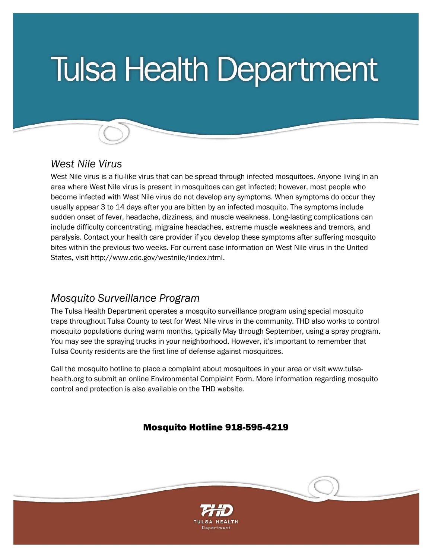# **Tulsa Health Department**

## *West Nile Virus*

l

West Nile virus is a flu-like virus that can be spread through infected mosquitoes. Anyone living in an area where West Nile virus is present in mosquitoes can get infected; however, most people who become infected with West Nile virus do not develop any symptoms. When symptoms do occur they usually appear 3 to 14 days after you are bitten by an infected mosquito. The symptoms include sudden onset of fever, headache, dizziness, and muscle weakness. Long-lasting complications can include difficulty concentrating, migraine headaches, extreme muscle weakness and tremors, and paralysis. Contact your health care provider if you develop these symptoms after suffering mosquito bites within the previous two weeks. For current case information on West Nile virus in the United States, visit http://www.cdc.gov/westnile/index.html.

## *Mosquito Surveillance Program*

The Tulsa Health Department operates a mosquito surveillance program using special mosquito traps throughout Tulsa County to test for West Nile virus in the community. THD also works to control mosquito populations during warm months, typically May through September, using a spray program. You may see the spraying trucks in your neighborhood. However, it's important to remember that Tulsa County residents are the first line of defense against mosquitoes.

Call the mosquito hotline to place a complaint about mosquitoes in your area or visit www.tulsahealth.org to submit an online Environmental Complaint Form. More information regarding mosquito control and protection is also available on the THD website.

#### Mosquito Hotline 918-595-4219